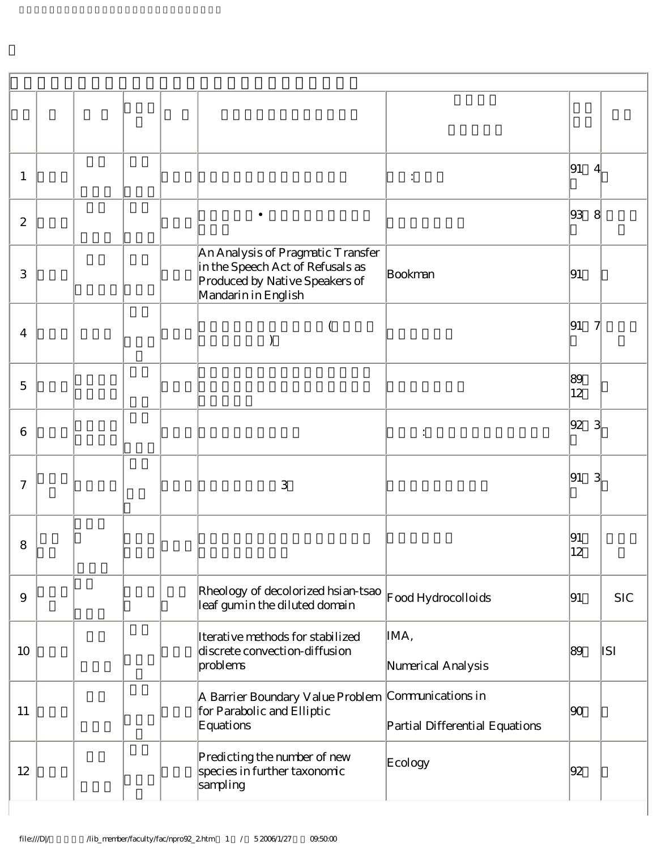| 1                |  |  |                                                                                                                                | $\ddot{\cdot}$                 | 91                 | 4             |
|------------------|--|--|--------------------------------------------------------------------------------------------------------------------------------|--------------------------------|--------------------|---------------|
| $\mathbf{2}$     |  |  |                                                                                                                                |                                | 93                 | 8             |
| 3                |  |  | An Analysis of Pragmatic Transfer<br>in the Speech Act of Refusals as<br>Produced by Native Speakers of<br>Mandarin in English | Bookman                        | 91                 |               |
| $\overline{4}$   |  |  |                                                                                                                                |                                | 91                 |               |
| $\mathbf 5$      |  |  |                                                                                                                                |                                | 89<br>$ 12\rangle$ |               |
| 6                |  |  |                                                                                                                                | :                              | 92                 | $\mathcal{S}$ |
| $\boldsymbol{7}$ |  |  | 3                                                                                                                              |                                | 91                 |               |
| 8                |  |  |                                                                                                                                |                                | 91<br> 12          |               |
| $\overline{9}$   |  |  | Rheology of decolorized hsian-tsao<br>leaf gumin the diluted domain                                                            | Food Hydrocolloids             | 91                 | <b>SIC</b>    |
| 10               |  |  | Iterative methods for stabilized<br>discrete convection-diffusion<br>problems                                                  | IMA,<br>Numerical Analysis     | 89                 | ISI           |
| 11               |  |  | A Barrier Boundary Value Problem Communications in<br>for Parabolic and Elliptic<br>Equations                                  | Partial Differential Equations | 90                 |               |
| 12               |  |  | Predicting the number of new<br>species in further taxonomic<br>sampling                                                       | Ecology                        | 92                 |               |

 $\overline{\phantom{a}}$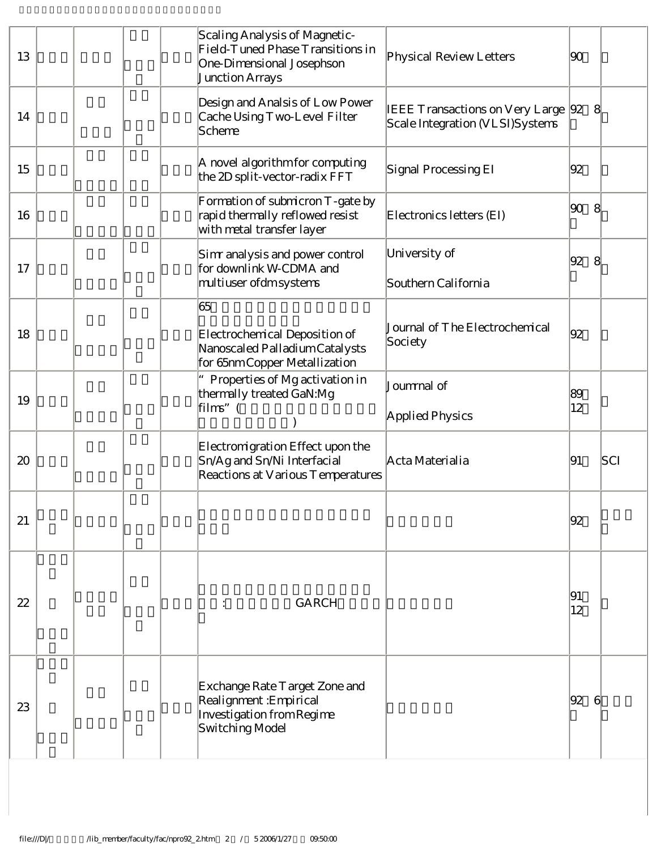| 13 |  |  | Scaling Analysis of Magnetic-<br>Field-Tuned Phase Transitions in<br>One-Dimensional Josephson<br>Junction Arrays | Physical Review Letters                                                   | 90       |     |
|----|--|--|-------------------------------------------------------------------------------------------------------------------|---------------------------------------------------------------------------|----------|-----|
| 14 |  |  | Design and Analsis of Low Power<br>Cache Using Two-Level Filter<br>Scheme                                         | <b>IEEE Transactions on Very Large</b><br>Scale Integration (VLSI)Systems | 92       | 8   |
| 15 |  |  | A novel algorithm for computing<br>the 2D split-vector-radix FFT                                                  | Signal Processing EI                                                      | 92       |     |
| 16 |  |  | Formation of submicron T-gate by<br>rapid thermally reflowed resist<br>with metal transfer layer                  | Electronics letters (EI)                                                  | 90       | 8   |
| 17 |  |  | Sim analysis and power control<br>for downlink W-CDMA and<br>multiuser ofdm systems                               | University of<br>Southern California                                      | 92       | 8   |
| 18 |  |  | 65<br>Electrochemical Deposition of<br>Nanoscaled Palladium Catalysts<br>for 65nm Copper Metallization            | Journal of The Electrochemical<br>Society                                 | 92       |     |
| 19 |  |  | Properties of Mg activation in<br>thermally treated GaN:Mg<br>$\lim_{\infty}$ (                                   | Joummal of<br>Applied Physics                                             | 89<br>12 |     |
| 20 |  |  | Electromigration Effect upon the<br>Sn/Ag and Sn/Ni Interfacial<br>Reactions at Various Temperatures              | Acta Materialia                                                           | 91       | SCI |
| 21 |  |  |                                                                                                                   |                                                                           | 92       |     |
| 22 |  |  | GARCH                                                                                                             |                                                                           | 91<br>12 |     |
| 23 |  |  | Exchange Rate T arget Zone and<br>Realignment: Empirical<br>Investigation from Regime<br>Switching Model          |                                                                           | 92       | 61  |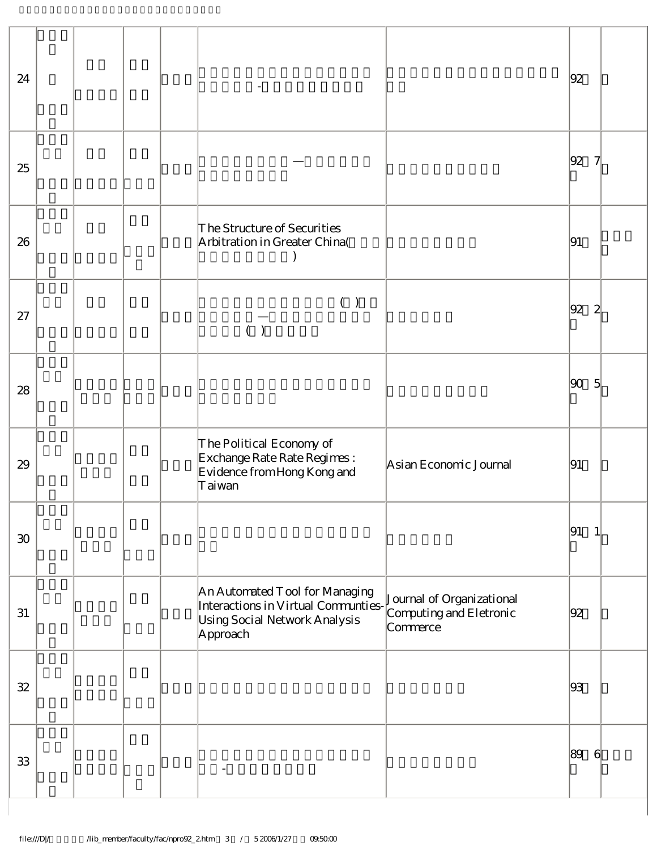| 24     |  |  |                                                                                                                                                                                         |                        | 92 |                |
|--------|--|--|-----------------------------------------------------------------------------------------------------------------------------------------------------------------------------------------|------------------------|----|----------------|
| 25     |  |  |                                                                                                                                                                                         |                        | 92 |                |
| 26     |  |  | The Structure of Securities<br>Arbitration in Greater China(                                                                                                                            |                        | 91 |                |
| 27     |  |  | $(\quad)$                                                                                                                                                                               |                        | 92 | $\mathbf{z}$   |
| 28     |  |  |                                                                                                                                                                                         |                        | 90 | $\overline{5}$ |
| 29     |  |  | The Political Economy of<br>Exchange Rate Rate Regimes :<br>Evidence from Hong Kong and<br>Taiwan                                                                                       | Asian Economic Journal | 91 |                |
| $30\,$ |  |  |                                                                                                                                                                                         |                        | 91 |                |
| 31     |  |  | An Automated Tool for Managing<br>An Automated 1 ool for Managing<br>Interactions in Virtual Communties-<br>Lising Social Network Analysis<br>Using Social Network Analysis<br>Approach | Commerce               | 92 |                |
| $3\!2$ |  |  |                                                                                                                                                                                         |                        | 93 |                |
| 33     |  |  |                                                                                                                                                                                         |                        | 89 | $6 \times$     |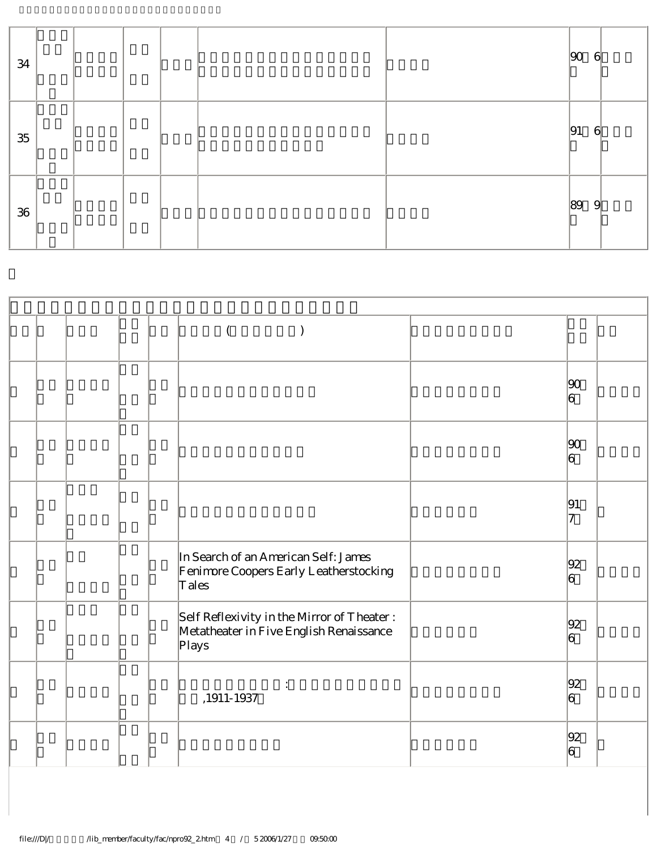| 34     |  |  |  | 90 | $\mathcal{G}$ |
|--------|--|--|--|----|---------------|
| $35\,$ |  |  |  | 91 | $\mathcal{G}$ |
| 36     |  |  |  | 89 | 9             |

|  |  | $\left( \right)$                                                                                |                      |  |
|--|--|-------------------------------------------------------------------------------------------------|----------------------|--|
|  |  |                                                                                                 | 90 <br>6             |  |
|  |  |                                                                                                 | 90 <br> 6            |  |
|  |  |                                                                                                 | 91<br>17             |  |
|  |  | In Search of an American Self: James<br>Fenimore Coopers Early Leatherstocking<br>Tales         | 92<br>$\overline{6}$ |  |
|  |  | Self Reflexivity in the Mirror of Theater :<br>Metatheater in Five English Renaissance<br>Plays | 92<br>6              |  |
|  |  | $,1911\text{-}1937$                                                                             | 92<br> 6             |  |
|  |  |                                                                                                 | 92<br> 6             |  |